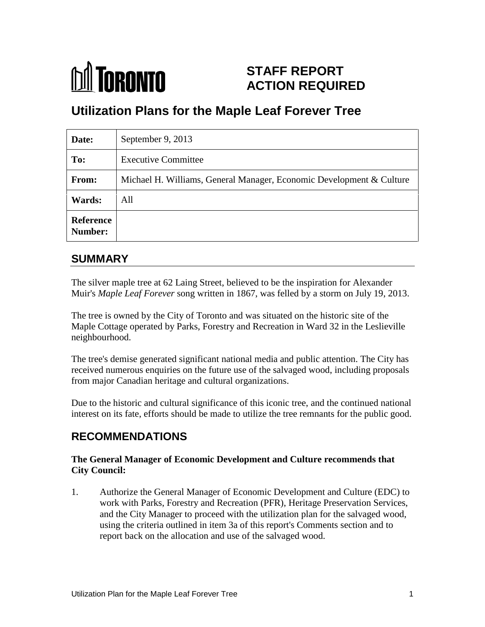

# **STAFF REPORT ACTION REQUIRED**

# **Utilization Plans for the Maple Leaf Forever Tree**

| Date:                       | September 9, 2013                                                    |
|-----------------------------|----------------------------------------------------------------------|
| To:                         | <b>Executive Committee</b>                                           |
| From:                       | Michael H. Williams, General Manager, Economic Development & Culture |
| Wards:                      | All                                                                  |
| <b>Reference</b><br>Number: |                                                                      |

# **SUMMARY**

The silver maple tree at 62 Laing Street, believed to be the inspiration for Alexander Muir's *Maple Leaf Forever* song written in 1867, was felled by a storm on July 19, 2013.

The tree is owned by the City of Toronto and was situated on the historic site of the Maple Cottage operated by Parks, Forestry and Recreation in Ward 32 in the Leslieville neighbourhood.

The tree's demise generated significant national media and public attention. The City has received numerous enquiries on the future use of the salvaged wood, including proposals from major Canadian heritage and cultural organizations.

Due to the historic and cultural significance of this iconic tree, and the continued national interest on its fate, efforts should be made to utilize the tree remnants for the public good.

# **RECOMMENDATIONS**

## **The General Manager of Economic Development and Culture recommends that City Council:**

1. Authorize the General Manager of Economic Development and Culture (EDC) to work with Parks, Forestry and Recreation (PFR), Heritage Preservation Services, and the City Manager to proceed with the utilization plan for the salvaged wood, using the criteria outlined in item 3a of this report's Comments section and to report back on the allocation and use of the salvaged wood.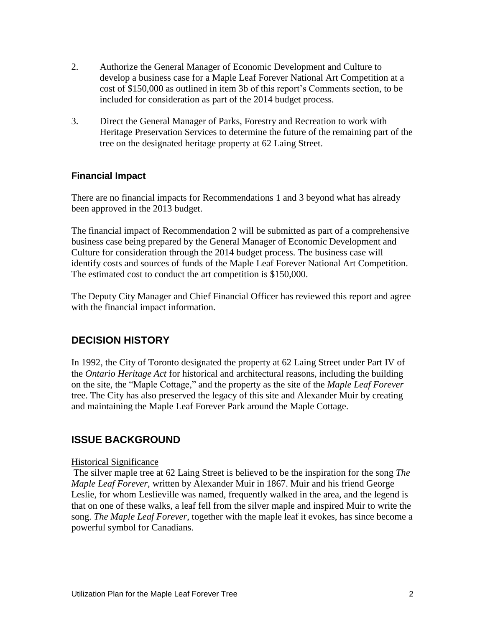- 2. Authorize the General Manager of Economic Development and Culture to develop a business case for a Maple Leaf Forever National Art Competition at a cost of \$150,000 as outlined in item 3b of this report's Comments section, to be included for consideration as part of the 2014 budget process.
- 3. Direct the General Manager of Parks, Forestry and Recreation to work with Heritage Preservation Services to determine the future of the remaining part of the tree on the designated heritage property at 62 Laing Street.

## **Financial Impact**

There are no financial impacts for Recommendations 1 and 3 beyond what has already been approved in the 2013 budget.

The financial impact of Recommendation 2 will be submitted as part of a comprehensive business case being prepared by the General Manager of Economic Development and Culture for consideration through the 2014 budget process. The business case will identify costs and sources of funds of the Maple Leaf Forever National Art Competition. The estimated cost to conduct the art competition is \$150,000.

The Deputy City Manager and Chief Financial Officer has reviewed this report and agree with the financial impact information.

## **DECISION HISTORY**

In 1992, the City of Toronto designated the property at 62 Laing Street under Part IV of the *Ontario Heritage Act* for historical and architectural reasons, including the building on the site, the "Maple Cottage," and the property as the site of the *Maple Leaf Forever* tree. The City has also preserved the legacy of this site and Alexander Muir by creating and maintaining the Maple Leaf Forever Park around the Maple Cottage.

## **ISSUE BACKGROUND**

#### Historical Significance

The silver maple tree at 62 Laing Street is believed to be the inspiration for the song *The Maple Leaf Forever*, written by Alexander Muir in 1867. Muir and his friend George Leslie, for whom Leslieville was named, frequently walked in the area, and the legend is that on one of these walks, a leaf fell from the silver maple and inspired Muir to write the song. *The Maple Leaf Forever*, together with the maple leaf it evokes, has since become a powerful symbol for Canadians.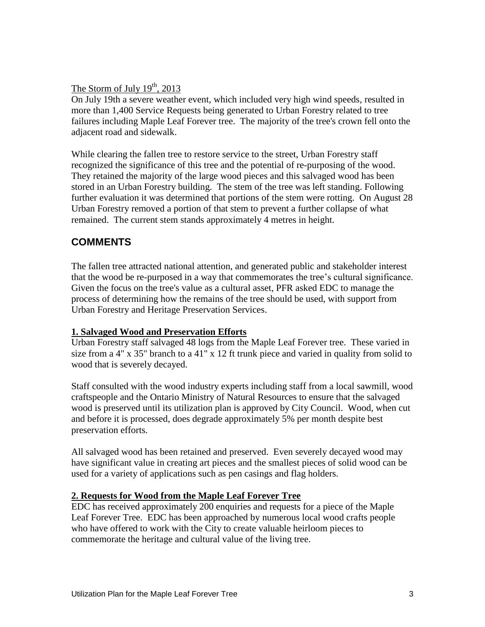The Storm of July  $19<sup>th</sup>$ , 2013

On July 19th a severe weather event, which included very high wind speeds, resulted in more than 1,400 Service Requests being generated to Urban Forestry related to tree failures including Maple Leaf Forever tree. The majority of the tree's crown fell onto the adjacent road and sidewalk.

While clearing the fallen tree to restore service to the street, Urban Forestry staff recognized the significance of this tree and the potential of re-purposing of the wood. They retained the majority of the large wood pieces and this salvaged wood has been stored in an Urban Forestry building. The stem of the tree was left standing. Following further evaluation it was determined that portions of the stem were rotting. On August 28 Urban Forestry removed a portion of that stem to prevent a further collapse of what remained. The current stem stands approximately 4 metres in height.

# **COMMENTS**

The fallen tree attracted national attention, and generated public and stakeholder interest that the wood be re-purposed in a way that commemorates the tree's cultural significance. Given the focus on the tree's value as a cultural asset, PFR asked EDC to manage the process of determining how the remains of the tree should be used, with support from Urban Forestry and Heritage Preservation Services.

## **1. Salvaged Wood and Preservation Efforts**

Urban Forestry staff salvaged 48 logs from the Maple Leaf Forever tree. These varied in size from a 4" x 35" branch to a 41" x 12 ft trunk piece and varied in quality from solid to wood that is severely decayed.

Staff consulted with the wood industry experts including staff from a local sawmill, wood craftspeople and the Ontario Ministry of Natural Resources to ensure that the salvaged wood is preserved until its utilization plan is approved by City Council. Wood, when cut and before it is processed, does degrade approximately 5% per month despite best preservation efforts.

All salvaged wood has been retained and preserved. Even severely decayed wood may have significant value in creating art pieces and the smallest pieces of solid wood can be used for a variety of applications such as pen casings and flag holders.

## **2. Requests for Wood from the Maple Leaf Forever Tree**

EDC has received approximately 200 enquiries and requests for a piece of the Maple Leaf Forever Tree. EDC has been approached by numerous local wood crafts people who have offered to work with the City to create valuable heirloom pieces to commemorate the heritage and cultural value of the living tree.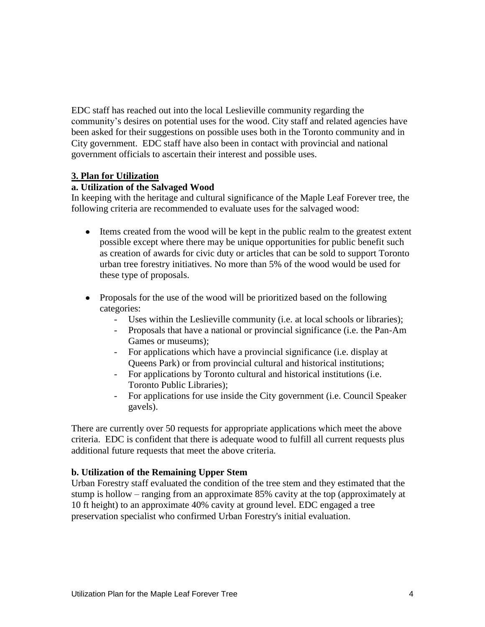EDC staff has reached out into the local Leslieville community regarding the community's desires on potential uses for the wood. City staff and related agencies have been asked for their suggestions on possible uses both in the Toronto community and in City government. EDC staff have also been in contact with provincial and national government officials to ascertain their interest and possible uses.

#### **3. Plan for Utilization**

#### **a. Utilization of the Salvaged Wood**

In keeping with the heritage and cultural significance of the Maple Leaf Forever tree, the following criteria are recommended to evaluate uses for the salvaged wood:

- Items created from the wood will be kept in the public realm to the greatest extent possible except where there may be unique opportunities for public benefit such as creation of awards for civic duty or articles that can be sold to support Toronto urban tree forestry initiatives. No more than 5% of the wood would be used for these type of proposals.
- Proposals for the use of the wood will be prioritized based on the following categories:
	- Uses within the Leslieville community (i.e. at local schools or libraries);
	- Proposals that have a national or provincial significance (i.e. the Pan-Am Games or museums);
	- For applications which have a provincial significance (i.e. display at Queens Park) or from provincial cultural and historical institutions;
	- For applications by Toronto cultural and historical institutions (i.e. Toronto Public Libraries);
	- For applications for use inside the City government (i.e. Council Speaker gavels).

There are currently over 50 requests for appropriate applications which meet the above criteria. EDC is confident that there is adequate wood to fulfill all current requests plus additional future requests that meet the above criteria.

## **b. Utilization of the Remaining Upper Stem**

Urban Forestry staff evaluated the condition of the tree stem and they estimated that the stump is hollow – ranging from an approximate 85% cavity at the top (approximately at 10 ft height) to an approximate 40% cavity at ground level. EDC engaged a tree preservation specialist who confirmed Urban Forestry's initial evaluation.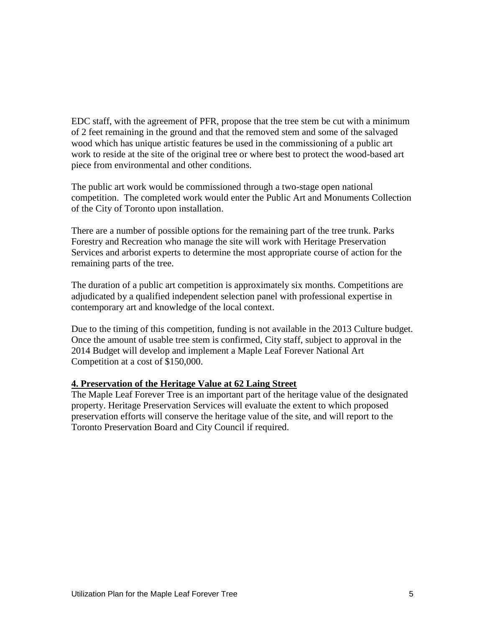EDC staff, with the agreement of PFR, propose that the tree stem be cut with a minimum of 2 feet remaining in the ground and that the removed stem and some of the salvaged wood which has unique artistic features be used in the commissioning of a public art work to reside at the site of the original tree or where best to protect the wood-based art piece from environmental and other conditions.

The public art work would be commissioned through a two-stage open national competition. The completed work would enter the Public Art and Monuments Collection of the City of Toronto upon installation.

There are a number of possible options for the remaining part of the tree trunk. Parks Forestry and Recreation who manage the site will work with Heritage Preservation Services and arborist experts to determine the most appropriate course of action for the remaining parts of the tree.

The duration of a public art competition is approximately six months. Competitions are adjudicated by a qualified independent selection panel with professional expertise in contemporary art and knowledge of the local context.

Due to the timing of this competition, funding is not available in the 2013 Culture budget. Once the amount of usable tree stem is confirmed, City staff, subject to approval in the 2014 Budget will develop and implement a Maple Leaf Forever National Art Competition at a cost of \$150,000.

#### **4. Preservation of the Heritage Value at 62 Laing Street**

The Maple Leaf Forever Tree is an important part of the heritage value of the designated property. Heritage Preservation Services will evaluate the extent to which proposed preservation efforts will conserve the heritage value of the site, and will report to the Toronto Preservation Board and City Council if required.